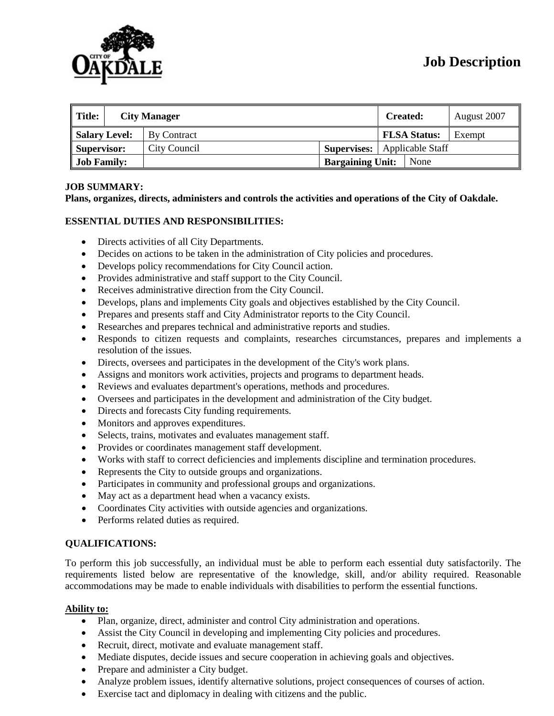

| <b>Title:</b>        |  | <b>City Manager</b> |                         | Created:            | August 2007 |
|----------------------|--|---------------------|-------------------------|---------------------|-------------|
| <b>Salary Level:</b> |  | By Contract         |                         | <b>FLSA Status:</b> | Exempt      |
| Supervisor:          |  | City Council        | Supervises:             | Applicable Staff    |             |
| <b>Job Family:</b>   |  |                     | <b>Bargaining Unit:</b> | None                |             |

### **JOB SUMMARY:**

**Plans, organizes, directs, administers and controls the activities and operations of the City of Oakdale.**

### **ESSENTIAL DUTIES AND RESPONSIBILITIES:**

- Directs activities of all City Departments.
- Decides on actions to be taken in the administration of City policies and procedures.
- Develops policy recommendations for City Council action.
- Provides administrative and staff support to the City Council.
- Receives administrative direction from the City Council.
- Develops, plans and implements City goals and objectives established by the City Council.
- Prepares and presents staff and City Administrator reports to the City Council.
- Researches and prepares technical and administrative reports and studies.
- Responds to citizen requests and complaints, researches circumstances, prepares and implements a resolution of the issues.
- Directs, oversees and participates in the development of the City's work plans.
- Assigns and monitors work activities, projects and programs to department heads.
- Reviews and evaluates department's operations, methods and procedures.
- Oversees and participates in the development and administration of the City budget.
- Directs and forecasts City funding requirements.
- Monitors and approves expenditures.
- Selects, trains, motivates and evaluates management staff.
- Provides or coordinates management staff development.
- Works with staff to correct deficiencies and implements discipline and termination procedures.
- Represents the City to outside groups and organizations.
- Participates in community and professional groups and organizations.
- May act as a department head when a vacancy exists.
- Coordinates City activities with outside agencies and organizations.
- Performs related duties as required.

### **QUALIFICATIONS:**

To perform this job successfully, an individual must be able to perform each essential duty satisfactorily. The requirements listed below are representative of the knowledge, skill, and/or ability required. Reasonable accommodations may be made to enable individuals with disabilities to perform the essential functions.

### **Ability to:**

- Plan, organize, direct, administer and control City administration and operations.
- Assist the City Council in developing and implementing City policies and procedures.
- Recruit, direct, motivate and evaluate management staff.
- Mediate disputes, decide issues and secure cooperation in achieving goals and objectives.
- Prepare and administer a City budget.
- Analyze problem issues, identify alternative solutions, project consequences of courses of action.
- Exercise tact and diplomacy in dealing with citizens and the public.